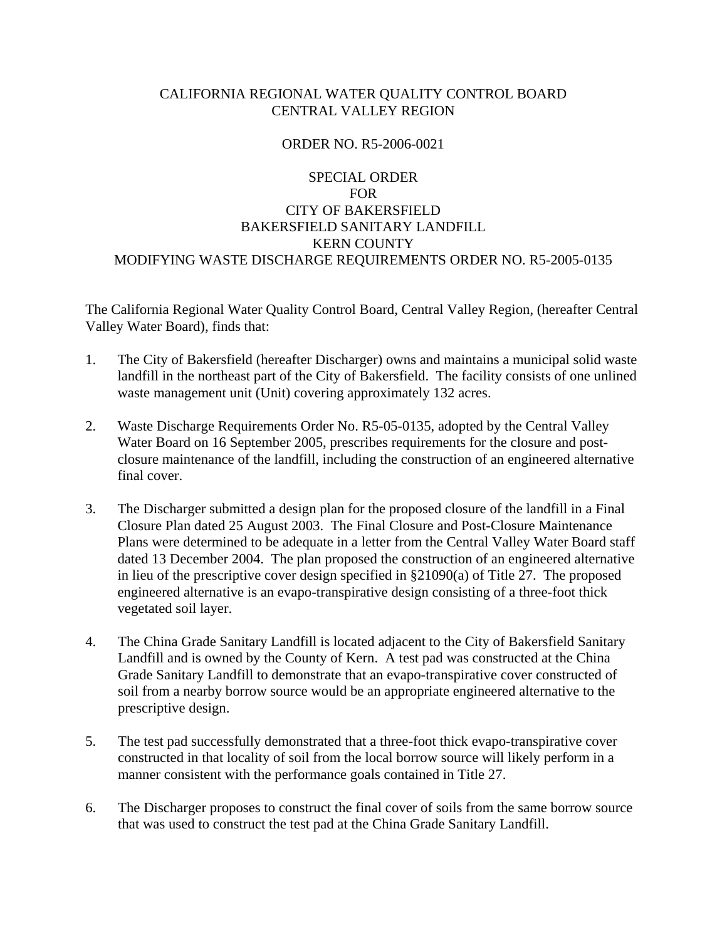### CALIFORNIA REGIONAL WATER QUALITY CONTROL BOARD CENTRAL VALLEY REGION

#### ORDER NO. R5-2006-0021

# SPECIAL ORDER FOR CITY OF BAKERSFIELD BAKERSFIELD SANITARY LANDFILL KERN COUNTY MODIFYING WASTE DISCHARGE REQUIREMENTS ORDER NO. R5-2005-0135

The California Regional Water Quality Control Board, Central Valley Region, (hereafter Central Valley Water Board), finds that:

- 1. The City of Bakersfield (hereafter Discharger) owns and maintains a municipal solid waste landfill in the northeast part of the City of Bakersfield. The facility consists of one unlined waste management unit (Unit) covering approximately 132 acres.
- 2. Waste Discharge Requirements Order No. R5-05-0135, adopted by the Central Valley Water Board on 16 September 2005, prescribes requirements for the closure and postclosure maintenance of the landfill, including the construction of an engineered alternative final cover.
- 3. The Discharger submitted a design plan for the proposed closure of the landfill in a Final Closure Plan dated 25 August 2003. The Final Closure and Post-Closure Maintenance Plans were determined to be adequate in a letter from the Central Valley Water Board staff dated 13 December 2004. The plan proposed the construction of an engineered alternative in lieu of the prescriptive cover design specified in §21090(a) of Title 27. The proposed engineered alternative is an evapo-transpirative design consisting of a three-foot thick vegetated soil layer.
- 4. The China Grade Sanitary Landfill is located adjacent to the City of Bakersfield Sanitary Landfill and is owned by the County of Kern. A test pad was constructed at the China Grade Sanitary Landfill to demonstrate that an evapo-transpirative cover constructed of soil from a nearby borrow source would be an appropriate engineered alternative to the prescriptive design.
- 5. The test pad successfully demonstrated that a three-foot thick evapo-transpirative cover constructed in that locality of soil from the local borrow source will likely perform in a manner consistent with the performance goals contained in Title 27.
- 6. The Discharger proposes to construct the final cover of soils from the same borrow source that was used to construct the test pad at the China Grade Sanitary Landfill.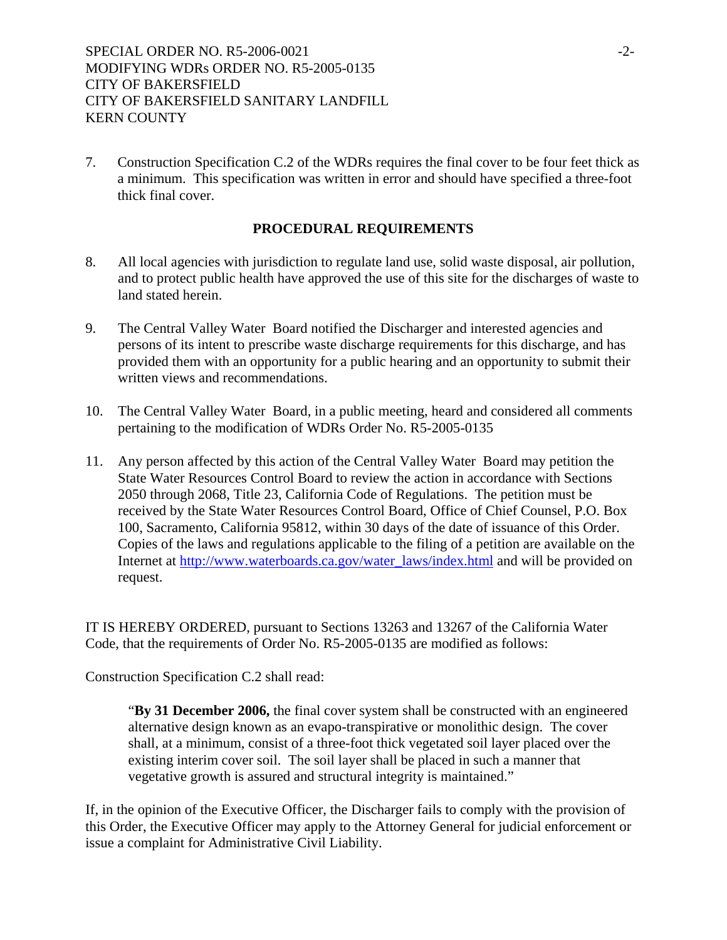7. Construction Specification C.2 of the WDRs requires the final cover to be four feet thick as a minimum. This specification was written in error and should have specified a three-foot thick final cover.

### **PROCEDURAL REQUIREMENTS**

- 8. All local agencies with jurisdiction to regulate land use, solid waste disposal, air pollution, and to protect public health have approved the use of this site for the discharges of waste to land stated herein.
- 9. The Central Valley Water Board notified the Discharger and interested agencies and persons of its intent to prescribe waste discharge requirements for this discharge, and has provided them with an opportunity for a public hearing and an opportunity to submit their written views and recommendations.
- 10. The Central Valley Water Board, in a public meeting, heard and considered all comments pertaining to the modification of WDRs Order No. R5-2005-0135
- 11. Any person affected by this action of the Central Valley Water Board may petition the State Water Resources Control Board to review the action in accordance with Sections 2050 through 2068, Title 23, California Code of Regulations. The petition must be received by the State Water Resources Control Board, Office of Chief Counsel, P.O. Box 100, Sacramento, California 95812, within 30 days of the date of issuance of this Order. Copies of the laws and regulations applicable to the filing of a petition are available on the Internet at http://www.waterboards.ca.gov/water\_laws/index.html and will be provided on request.

IT IS HEREBY ORDERED, pursuant to Sections 13263 and 13267 of the California Water Code, that the requirements of Order No. R5-2005-0135 are modified as follows:

Construction Specification C.2 shall read:

"**By 31 December 2006,** the final cover system shall be constructed with an engineered alternative design known as an evapo-transpirative or monolithic design. The cover shall, at a minimum, consist of a three-foot thick vegetated soil layer placed over the existing interim cover soil. The soil layer shall be placed in such a manner that vegetative growth is assured and structural integrity is maintained."

If, in the opinion of the Executive Officer, the Discharger fails to comply with the provision of this Order, the Executive Officer may apply to the Attorney General for judicial enforcement or issue a complaint for Administrative Civil Liability.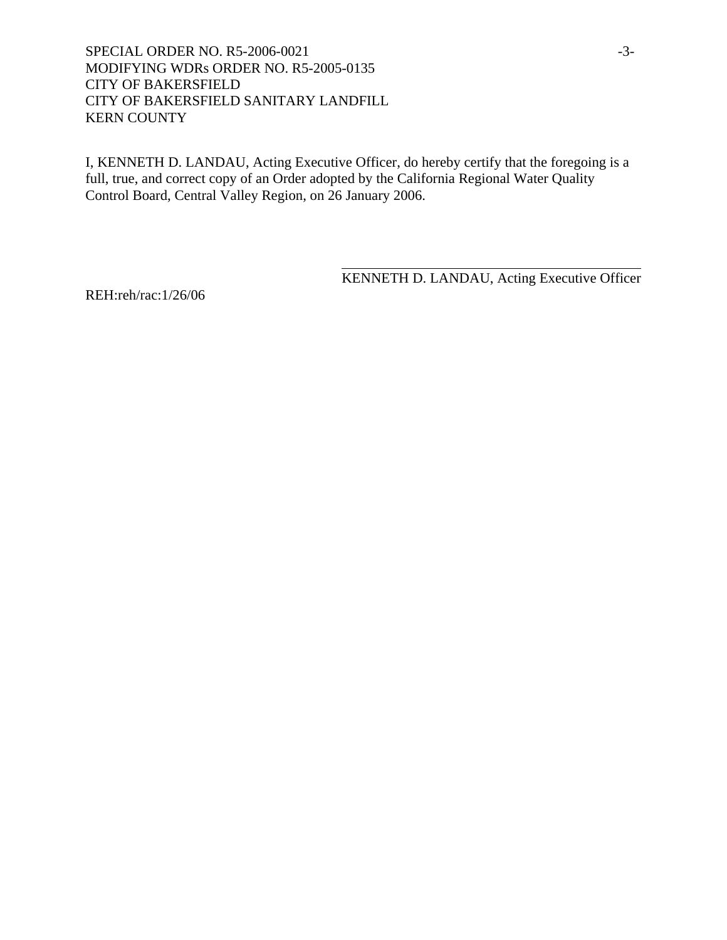SPECIAL ORDER NO. R5-2006-0021 -3-MODIFYING WDRs ORDER NO. R5-2005-0135 CITY OF BAKERSFIELD CITY OF BAKERSFIELD SANITARY LANDFILL KERN COUNTY

I, KENNETH D. LANDAU, Acting Executive Officer, do hereby certify that the foregoing is a full, true, and correct copy of an Order adopted by the California Regional Water Quality Control Board, Central Valley Region, on 26 January 2006.

 $\overline{a}$ 

KENNETH D. LANDAU, Acting Executive Officer

REH:reh/rac:1/26/06